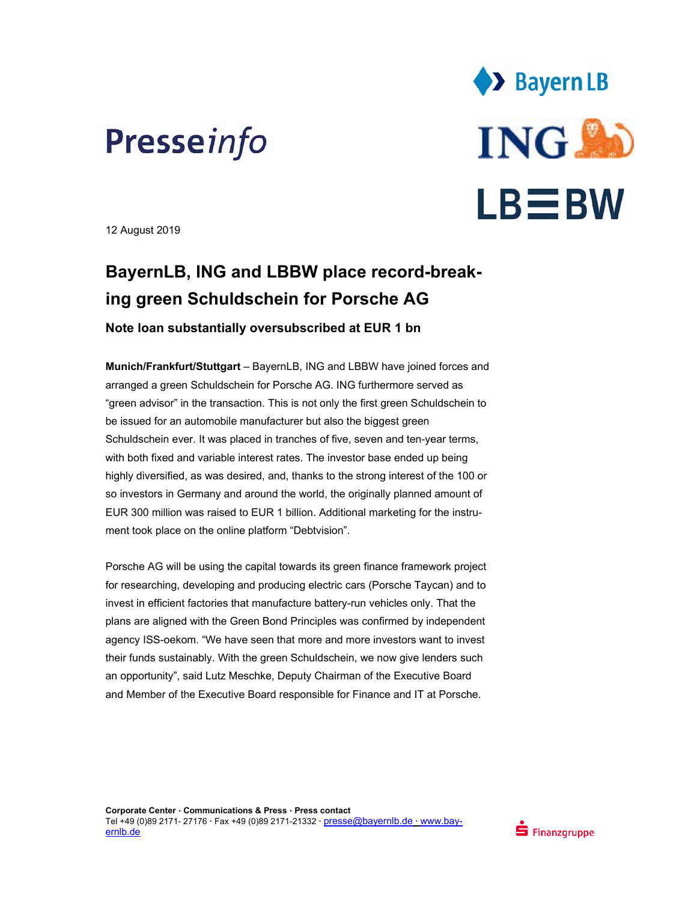



12 August 2019

## **BayernLB, ING and LBBW place record-breaking green Schuldschein for Porsche AG**

**Note loan substantially oversubscribed at EUR 1 bn** 

**Munich/Frankfurt/Stuttgart** – BayernLB, ING and LBBW have joined forces and arranged a green Schuldschein for Porsche AG. ING furthermore served as "green advisor" in the transaction. This is not only the first green Schuldschein to be issued for an automobile manufacturer but also the biggest green Schuldschein ever. It was placed in tranches of five, seven and ten-year terms, with both fixed and variable interest rates. The investor base ended up being highly diversified, as was desired, and, thanks to the strong interest of the 100 or so investors in Germany and around the world, the originally planned amount of EUR 300 million was raised to EUR 1 billion. Additional marketing for the instrument took place on the online platform "Debtvision".

Porsche AG will be using the capital towards its green finance framework project for researching, developing and producing electric cars (Porsche Taycan) and to invest in efficient factories that manufacture battery-run vehicles only. That the plans are aligned with the Green Bond Principles was confirmed by independent agency ISS-oekom. "We have seen that more and more investors want to invest their funds sustainably. With the green Schuldschein, we now give lenders such an opportunity", said Lutz Meschke, Deputy Chairman of the Executive Board and Member of the Executive Board responsible for Finance and IT at Porsche.